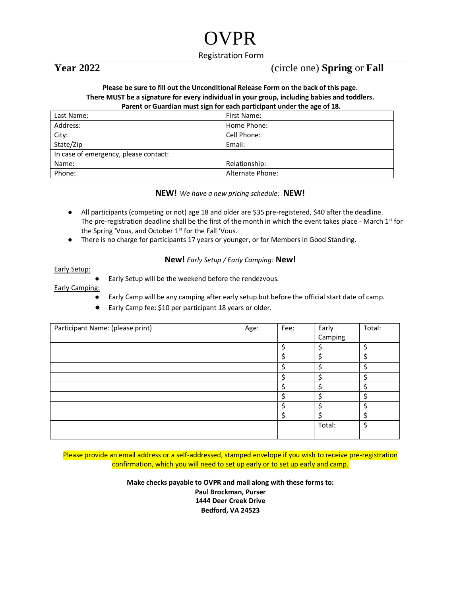# OVPR

Registration Form

## **Year 2022** (circle one) **Spring** or **Fall**

#### **Please be sure to fill out the Unconditional Release Form on the back of this page. There MUST be a signature for every individual in your group, including babies and toddlers. Parent or Guardian must sign for each participant under the age of 18.**

| Last Name:                            | First Name:      |  |  |
|---------------------------------------|------------------|--|--|
| Address:                              | Home Phone:      |  |  |
| City:                                 | Cell Phone:      |  |  |
| State/Zip                             | Email:           |  |  |
| In case of emergency, please contact: |                  |  |  |
| Name:                                 | Relationship:    |  |  |
| Phone:                                | Alternate Phone: |  |  |

### **NEW!** *We have a new pricing schedule:* **NEW!**

- All participants (competing or not) age 18 and older are \$35 pre-registered, \$40 after the deadline. The pre-registration deadline shall be the first of the month in which the event takes place - March  $1<sup>st</sup>$  for the Spring 'Vous, and October  $1<sup>st</sup>$  for the Fall 'Vous.
- There is no charge for participants 17 years or younger, or for Members in Good Standing.

### **New!** *Early Setup / Early Camping:* **New!**

#### Early Setup:

Early Setup will be the weekend before the rendezvous.

#### Early Camping:

- Early Camp will be any camping after early setup but before the official start date of camp.
- Early Camp fee: \$10 per participant 18 years or older.

| Participant Name: (please print) | Age: | Fee: | Early   | Total: |
|----------------------------------|------|------|---------|--------|
|                                  |      |      | Camping |        |
|                                  |      | ς    |         | ċ      |
|                                  |      | ς    | ς       | ċ      |
|                                  |      |      |         | c      |
|                                  |      |      |         |        |
|                                  |      |      |         |        |
|                                  |      |      |         |        |
|                                  |      |      |         |        |
|                                  |      | ሖ    |         |        |
|                                  |      |      | Total:  | ¢      |
|                                  |      |      |         |        |

Please provide an email address or a self-addressed, stamped envelope if you wish to receive pre-registration confirmation, which you will need to set up early or to set up early and camp.

> **Make checks payable to OVPR and mail along with these forms to: Paul Brockman, Purser 1444 Deer Creek Drive Bedford, VA 24523**